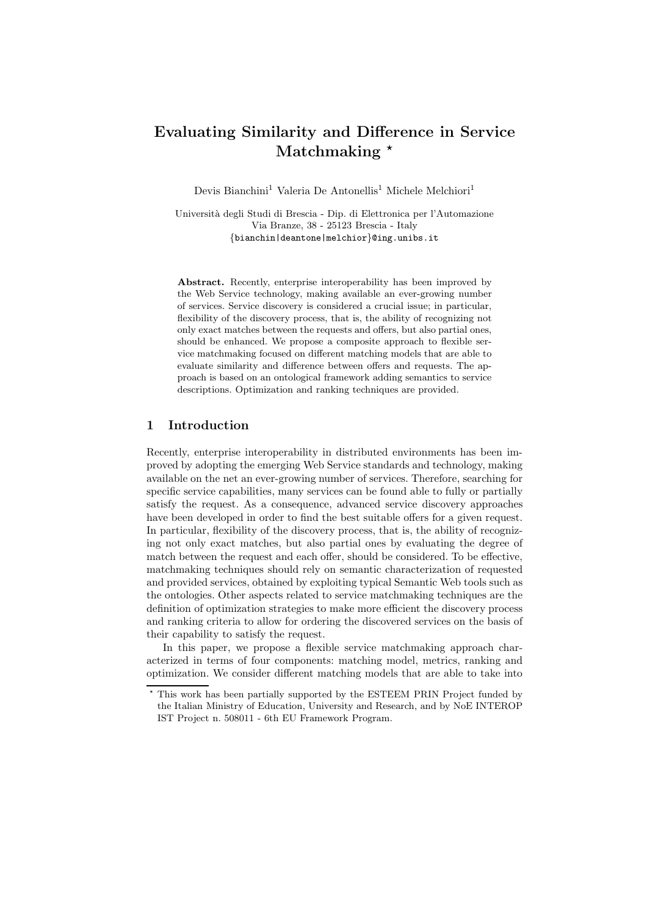## Evaluating Similarity and Difference in Service Matchmaking  $*$

Devis Bianchini<sup>1</sup> Valeria De Antonellis<sup>1</sup> Michele Melchiori<sup>1</sup>

Universit`a degli Studi di Brescia - Dip. di Elettronica per l'Automazione Via Branze, 38 - 25123 Brescia - Italy {bianchin|deantone|melchior}@ing.unibs.it

Abstract. Recently, enterprise interoperability has been improved by the Web Service technology, making available an ever-growing number of services. Service discovery is considered a crucial issue; in particular, flexibility of the discovery process, that is, the ability of recognizing not only exact matches between the requests and offers, but also partial ones, should be enhanced. We propose a composite approach to flexible service matchmaking focused on different matching models that are able to evaluate similarity and difference between offers and requests. The approach is based on an ontological framework adding semantics to service descriptions. Optimization and ranking techniques are provided.

## 1 Introduction

Recently, enterprise interoperability in distributed environments has been improved by adopting the emerging Web Service standards and technology, making available on the net an ever-growing number of services. Therefore, searching for specific service capabilities, many services can be found able to fully or partially satisfy the request. As a consequence, advanced service discovery approaches have been developed in order to find the best suitable offers for a given request. In particular, flexibility of the discovery process, that is, the ability of recognizing not only exact matches, but also partial ones by evaluating the degree of match between the request and each offer, should be considered. To be effective, matchmaking techniques should rely on semantic characterization of requested and provided services, obtained by exploiting typical Semantic Web tools such as the ontologies. Other aspects related to service matchmaking techniques are the definition of optimization strategies to make more efficient the discovery process and ranking criteria to allow for ordering the discovered services on the basis of their capability to satisfy the request.

In this paper, we propose a flexible service matchmaking approach characterized in terms of four components: matching model, metrics, ranking and optimization. We consider different matching models that are able to take into

<sup>⋆</sup> This work has been partially supported by the ESTEEM PRIN Project funded by the Italian Ministry of Education, University and Research, and by NoE INTEROP IST Project n. 508011 - 6th EU Framework Program.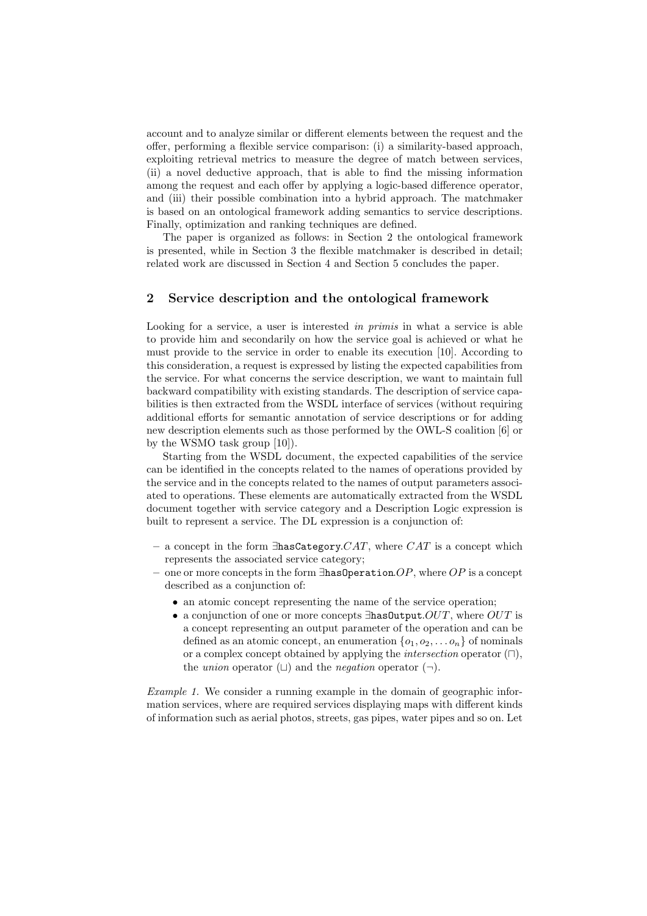account and to analyze similar or different elements between the request and the offer, performing a flexible service comparison: (i) a similarity-based approach, exploiting retrieval metrics to measure the degree of match between services, (ii) a novel deductive approach, that is able to find the missing information among the request and each offer by applying a logic-based difference operator, and (iii) their possible combination into a hybrid approach. The matchmaker is based on an ontological framework adding semantics to service descriptions. Finally, optimization and ranking techniques are defined.

The paper is organized as follows: in Section 2 the ontological framework is presented, while in Section 3 the flexible matchmaker is described in detail; related work are discussed in Section 4 and Section 5 concludes the paper.

### 2 Service description and the ontological framework

Looking for a service, a user is interested in primis in what a service is able to provide him and secondarily on how the service goal is achieved or what he must provide to the service in order to enable its execution [10]. According to this consideration, a request is expressed by listing the expected capabilities from the service. For what concerns the service description, we want to maintain full backward compatibility with existing standards. The description of service capabilities is then extracted from the WSDL interface of services (without requiring additional efforts for semantic annotation of service descriptions or for adding new description elements such as those performed by the OWL-S coalition [6] or by the WSMO task group [10]).

Starting from the WSDL document, the expected capabilities of the service can be identified in the concepts related to the names of operations provided by the service and in the concepts related to the names of output parameters associated to operations. These elements are automatically extracted from the WSDL document together with service category and a Description Logic expression is built to represent a service. The DL expression is a conjunction of:

- a concept in the form  $\exists$ hasCategory. $CAT$ , where  $CAT$  is a concept which represents the associated service category;
- one or more concepts in the form  $\exists$ hasOperation.OP, where OP is a concept described as a conjunction of:
	- an atomic concept representing the name of the service operation;
	- a conjunction of one or more concepts  $\exists$ hasOutput. $OUT$ , where  $OUT$  is a concept representing an output parameter of the operation and can be defined as an atomic concept, an enumeration  $\{o_1, o_2, \ldots o_n\}$  of nominals or a complex concept obtained by applying the *intersection* operator  $(\Box)$ , the *union* operator ( $\Box$ ) and the *negation* operator ( $\neg$ ).

Example 1. We consider a running example in the domain of geographic information services, where are required services displaying maps with different kinds of information such as aerial photos, streets, gas pipes, water pipes and so on. Let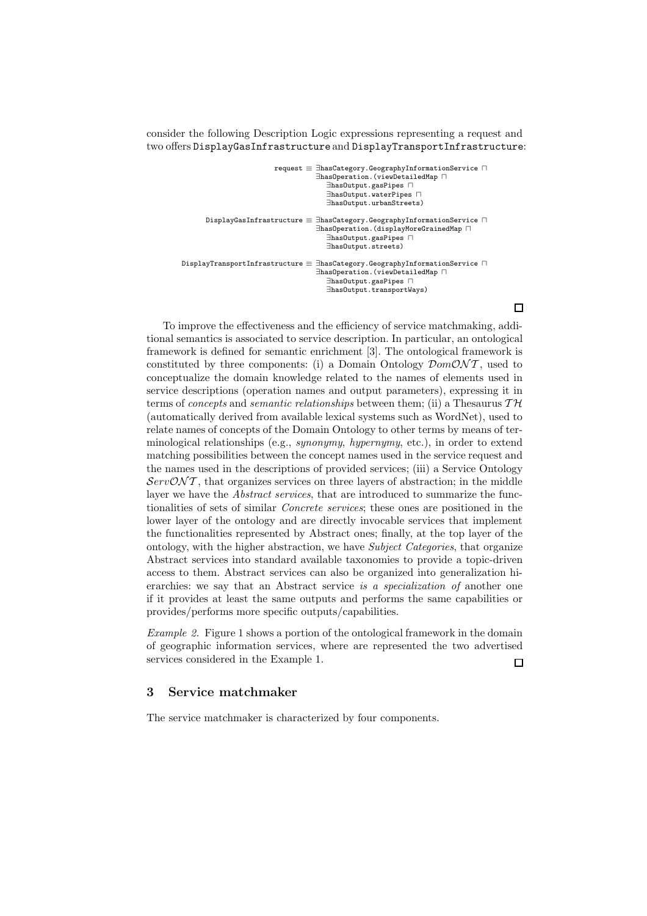consider the following Description Logic expressions representing a request and two offers DisplayGasInfrastructure and DisplayTransportInfrastructure:

| request $\equiv$ $\exists$ hasCategory.GeographyInformationService $\Box$<br>$\exists$ hasOperation. (viewDetailedMap $\sqcap$<br>$\exists$ has0utput.gasPipes $\sqcap$<br>$\exists$ has0utput.waterPipes $\sqcap$<br>EhasOutput.urbanStreets) |  |
|------------------------------------------------------------------------------------------------------------------------------------------------------------------------------------------------------------------------------------------------|--|
| DisplayGasInfrastructure $\equiv \exists$ hasCategory.GeographyInformationService $\sqcap$<br>$\exists$ has0peration. (displayMoreGrainedMap $\sqcap$<br>$\exists$ has0utput.gasPipes $\sqcap$<br>EhasOutput.streets)                          |  |
| DisplayTransportInfrastructure $\equiv \, \exists \texttt{hasCategory}.$ GeographyInformationService $\, \sqcap \,$<br>$\exists$ has0peration. (viewDetailedMap $\sqcap$<br>$\exists$ has0utput.gasPipes $\sqcap$<br>EhasOutput.transportWays) |  |

 $\Box$ 

To improve the effectiveness and the efficiency of service matchmaking, additional semantics is associated to service description. In particular, an ontological framework is defined for semantic enrichment [3]. The ontological framework is constituted by three components: (i) a Domain Ontology  $\mathcal{D}om\mathcal{O}NT$ , used to conceptualize the domain knowledge related to the names of elements used in service descriptions (operation names and output parameters), expressing it in terms of *concepts* and *semantic relationships* between them; (ii) a Thesaurus  $TH$ (automatically derived from available lexical systems such as WordNet), used to relate names of concepts of the Domain Ontology to other terms by means of terminological relationships (e.g., synonymy, hypernymy, etc.), in order to extend matching possibilities between the concept names used in the service request and the names used in the descriptions of provided services; (iii) a Service Ontology  $ServONT$ , that organizes services on three layers of abstraction; in the middle layer we have the *Abstract services*, that are introduced to summarize the functionalities of sets of similar Concrete services; these ones are positioned in the lower layer of the ontology and are directly invocable services that implement the functionalities represented by Abstract ones; finally, at the top layer of the ontology, with the higher abstraction, we have Subject Categories, that organize Abstract services into standard available taxonomies to provide a topic-driven access to them. Abstract services can also be organized into generalization hierarchies: we say that an Abstract service is a specialization of another one if it provides at least the same outputs and performs the same capabilities or provides/performs more specific outputs/capabilities.

Example 2. Figure 1 shows a portion of the ontological framework in the domain of geographic information services, where are represented the two advertised services considered in the Example 1.  $\Box$ 

#### 3 Service matchmaker

The service matchmaker is characterized by four components.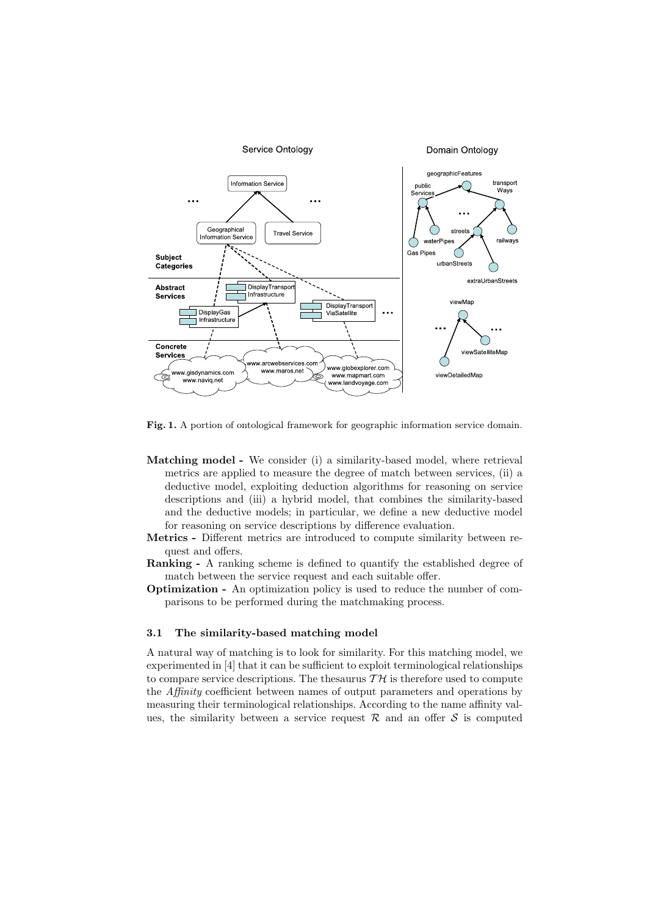

Fig. 1. A portion of ontological framework for geographic information service domain.

- Matching model We consider (i) a similarity-based model, where retrieval metrics are applied to measure the degree of match between services, (ii) a deductive model, exploiting deduction algorithms for reasoning on service descriptions and (iii) a hybrid model, that combines the similarity-based and the deductive models; in particular, we define a new deductive model for reasoning on service descriptions by difference evaluation.
- Metrics Different metrics are introduced to compute similarity between request and offers.
- Ranking A ranking scheme is defined to quantify the established degree of match between the service request and each suitable offer.
- Optimization An optimization policy is used to reduce the number of comparisons to be performed during the matchmaking process.

#### 3.1 The similarity-based matching model

A natural way of matching is to look for similarity. For this matching model, we experimented in [4] that it can be sufficient to exploit terminological relationships to compare service descriptions. The thesaurus  $T H$  is therefore used to compute the Affinity coefficient between names of output parameters and operations by measuring their terminological relationships. According to the name affinity values, the similarity between a service request  $\mathcal R$  and an offer  $\mathcal S$  is computed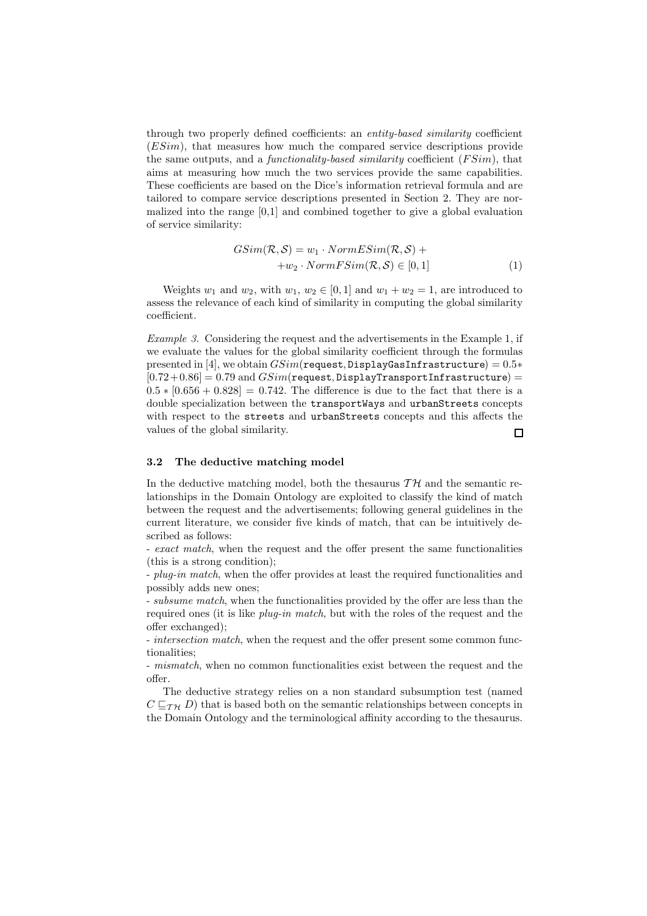through two properly defined coefficients: an entity-based similarity coefficient (ESim), that measures how much the compared service descriptions provide the same outputs, and a *functionality-based similarity* coefficient  $(FSim)$ , that aims at measuring how much the two services provide the same capabilities. These coefficients are based on the Dice's information retrieval formula and are tailored to compare service descriptions presented in Section 2. They are normalized into the range [0,1] and combined together to give a global evaluation of service similarity:

$$
GSim(\mathcal{R}, \mathcal{S}) = w_1 \cdot NormESim(\mathcal{R}, \mathcal{S}) ++ w_2 \cdot NormFSim(\mathcal{R}, \mathcal{S}) \in [0, 1]
$$
\n(1)

Weights  $w_1$  and  $w_2$ , with  $w_1, w_2 \in [0, 1]$  and  $w_1 + w_2 = 1$ , are introduced to assess the relevance of each kind of similarity in computing the global similarity coefficient.

Example 3. Considering the request and the advertisements in the Example 1, if we evaluate the values for the global similarity coefficient through the formulas presented in [4], we obtain  $GSim$ (request, DisplayGasInfrastructure) =  $0.5*$  $[0.72+0.86] = 0.79$  and  $GSim$ (request, DisplayTransportInfrastructure) =  $0.5 * [0.656 + 0.828] = 0.742$ . The difference is due to the fact that there is a double specialization between the transportWays and urbanStreets concepts with respect to the streets and urbanStreets concepts and this affects the values of the global similarity.  $\Box$ 

# 3.2 The deductive matching model

In the deductive matching model, both the thesaurus  $T H$  and the semantic relationships in the Domain Ontology are exploited to classify the kind of match between the request and the advertisements; following general guidelines in the current literature, we consider five kinds of match, that can be intuitively described as follows:

- exact match, when the request and the offer present the same functionalities (this is a strong condition);

- *plug-in match*, when the offer provides at least the required functionalities and possibly adds new ones;

- subsume match, when the functionalities provided by the offer are less than the required ones (it is like plug-in match, but with the roles of the request and the offer exchanged);

- intersection match, when the request and the offer present some common functionalities;

- *mismatch*, when no common functionalities exist between the request and the offer.

The deductive strategy relies on a non standard subsumption test (named  $C \sqsubset_{\mathcal{T}H} D$ ) that is based both on the semantic relationships between concepts in the Domain Ontology and the terminological affinity according to the thesaurus.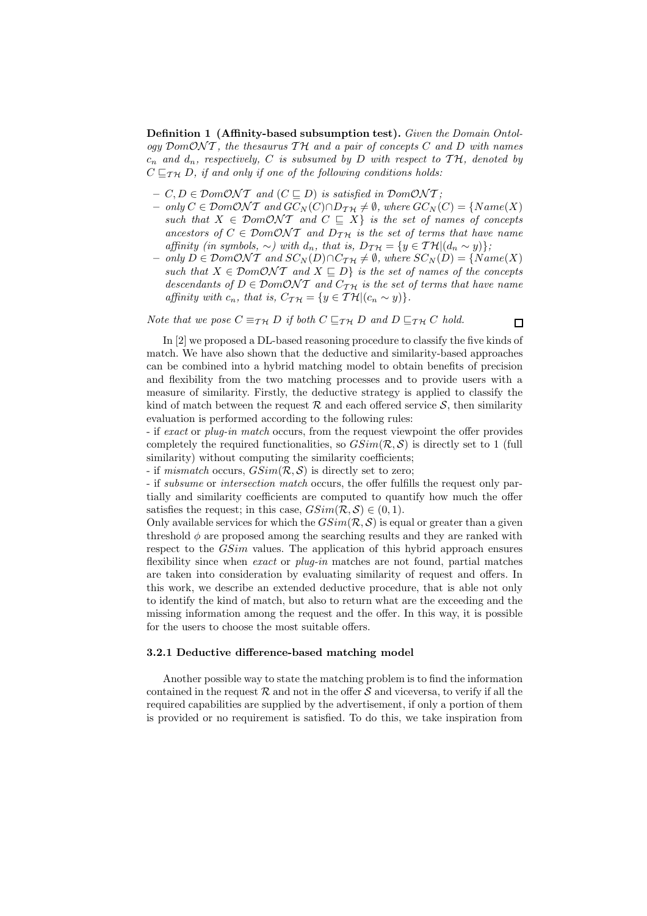Definition 1 (Affinity-based subsumption test). Given the Domain Ontology  $DomONT$ , the thesaurus TH and a pair of concepts C and D with names  $c_n$  and  $d_n$ , respectively, C is subsumed by D with respect to TH, denoted by  $C \sqsubseteq_{\mathcal{T}H} D$ , if and only if one of the following conditions holds:

- $C, D \in Dom\mathcal{O}NT$  and  $(C \sqsubseteq D)$  is satisfied in  $Dom\mathcal{O}NT$ ;
- only  $C \in \mathcal{D}om\mathcal{O}NT$  and  $GC_N(C) \cap D_{TH} \neq \emptyset$ , where  $GC_N(C) = \{Name(X)$ such that  $X \in Dom\mathcal{O}NT$  and  $C \subseteq X$  is the set of names of concepts ancestors of  $C \in Dom\mathcal{O}NT$  and  $D_{\mathcal{TH}}$  is the set of terms that have name affinity (in symbols,  $\sim$ ) with d<sub>n</sub>, that is,  $D_{\mathcal{TH}} = \{y \in \mathcal{TH}|(d_n \sim y)\};$
- *only*  $D \in \mathcal{D}om\mathcal{O}NT$  and  $SC_N(D) \cap C_{TH} \neq \emptyset$ , where  $SC_N(D) = \{Name(X)$ such that  $X \in \mathcal{D}om\mathcal{O}NT$  and  $X \subseteq D$  is the set of names of the concepts descendants of  $D \in \mathcal{D}om\mathcal{O}NT$  and  $C_{\mathcal{TH}}$  is the set of terms that have name affinity with  $c_n$ , that is,  $C_{\mathcal{TH}} = \{y \in \mathcal{TH} | (c_n \sim y) \}.$

Note that we pose  $C \equiv_{\mathcal{T}\mathcal{H}} D$  if both  $C \sqsubseteq_{\mathcal{T}\mathcal{H}} D$  and  $D \sqsubseteq_{\mathcal{T}\mathcal{H}} C$  hold.

$$
\Box
$$

In [2] we proposed a DL-based reasoning procedure to classify the five kinds of match. We have also shown that the deductive and similarity-based approaches can be combined into a hybrid matching model to obtain benefits of precision and flexibility from the two matching processes and to provide users with a measure of similarity. Firstly, the deductive strategy is applied to classify the kind of match between the request  $\mathcal R$  and each offered service  $\mathcal S$ , then similarity evaluation is performed according to the following rules:

- if exact or plug-in match occurs, from the request viewpoint the offer provides completely the required functionalities, so  $GSim(\mathcal{R}, \mathcal{S})$  is directly set to 1 (full similarity) without computing the similarity coefficients;

- if mismatch occurs,  $GSim(\mathcal{R}, \mathcal{S})$  is directly set to zero;

- if subsume or intersection match occurs, the offer fulfills the request only partially and similarity coefficients are computed to quantify how much the offer satisfies the request; in this case,  $GSim(\mathcal{R}, \mathcal{S}) \in (0, 1)$ .

Only available services for which the  $GSim(\mathcal{R}, \mathcal{S})$  is equal or greater than a given threshold  $\phi$  are proposed among the searching results and they are ranked with respect to the *GSim* values. The application of this hybrid approach ensures flexibility since when *exact* or *plug-in* matches are not found, partial matches are taken into consideration by evaluating similarity of request and offers. In this work, we describe an extended deductive procedure, that is able not only to identify the kind of match, but also to return what are the exceeding and the missing information among the request and the offer. In this way, it is possible for the users to choose the most suitable offers.

#### 3.2.1 Deductive difference-based matching model

Another possible way to state the matching problem is to find the information contained in the request  $\mathcal R$  and not in the offer  $\mathcal S$  and viceversa, to verify if all the required capabilities are supplied by the advertisement, if only a portion of them is provided or no requirement is satisfied. To do this, we take inspiration from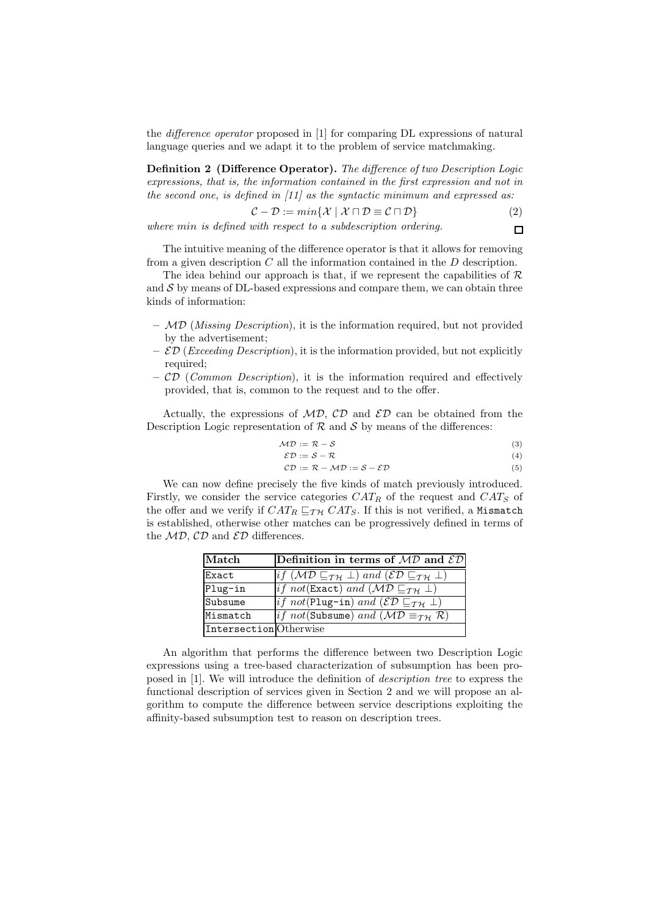the difference operator proposed in [1] for comparing DL expressions of natural language queries and we adapt it to the problem of service matchmaking.

Definition 2 (Difference Operator). The difference of two Description Logic expressions, that is, the information contained in the first expression and not in the second one, is defined in  $(11)$  as the syntactic minimum and expressed as:

$$
\mathcal{C} - \mathcal{D} := \min\{\mathcal{X} \mid \mathcal{X} \cap \mathcal{D} \equiv \mathcal{C} \cap \mathcal{D}\}\tag{2}
$$

where min is defined with respect to a subdescription ordering.  $\Box$ 

The intuitive meaning of the difference operator is that it allows for removing from a given description  $C$  all the information contained in the  $D$  description.

The idea behind our approach is that, if we represent the capabilities of  $\mathcal R$ and  $S$  by means of DL-based expressions and compare them, we can obtain three kinds of information:

- $-$  MD (*Missing Description*), it is the information required, but not provided by the advertisement;
- $\mathcal{ED}$  (*Exceeding Description*), it is the information provided, but not explicitly required;
- $-$  CD (Common Description), it is the information required and effectively provided, that is, common to the request and to the offer.

Actually, the expressions of  $MD$ ,  $CD$  and  $ED$  can be obtained from the Description Logic representation of  $\mathcal R$  and  $\mathcal S$  by means of the differences:

$$
\mathcal{MD} := \mathcal{R} - \mathcal{S} \tag{3}
$$

$$
\mathcal{ED} := \mathcal{S} - \mathcal{R} \tag{4}
$$

$$
CD := \mathcal{R} - \mathcal{MD} := \mathcal{S} - \mathcal{ED}
$$
 (5)

We can now define precisely the five kinds of match previously introduced. Firstly, we consider the service categories  $CAT_R$  of the request and  $CAT_S$  of the offer and we verify if  $CAT_R \sqsubseteq_{\mathcal{TH}} CAT_S$ . If this is not verified, a Mismatch is established, otherwise other matches can be progressively defined in terms of the  $MD$ ,  $CD$  and  $ED$  differences.

| Match                  | Definition in terms of $MD$ and $ED$                                                                     |
|------------------------|----------------------------------------------------------------------------------------------------------|
| Exact                  | if $(\mathcal{MD} \sqsubseteq_{\mathcal{TH}} \bot)$ and $(\mathcal{ED} \sqsubseteq_{\mathcal{TH}} \bot)$ |
| Plug-in                | if not (Exact) and $(\mathcal{MD} \sqsubseteq_{\mathcal{TH}} \bot)$                                      |
| Subsume                | <i>if not</i> (Plug-in) and $(\mathcal{ED} \sqsubseteq_{\mathcal{TH}} \bot)$                             |
| Mismatch               | <i>if not</i> (Subsume) and $(\mathcal{MD} \equiv_{\mathcal{TH}} \mathcal{R})$                           |
| Intersection Otherwise |                                                                                                          |

An algorithm that performs the difference between two Description Logic expressions using a tree-based characterization of subsumption has been proposed in [1]. We will introduce the definition of description tree to express the functional description of services given in Section 2 and we will propose an algorithm to compute the difference between service descriptions exploiting the affinity-based subsumption test to reason on description trees.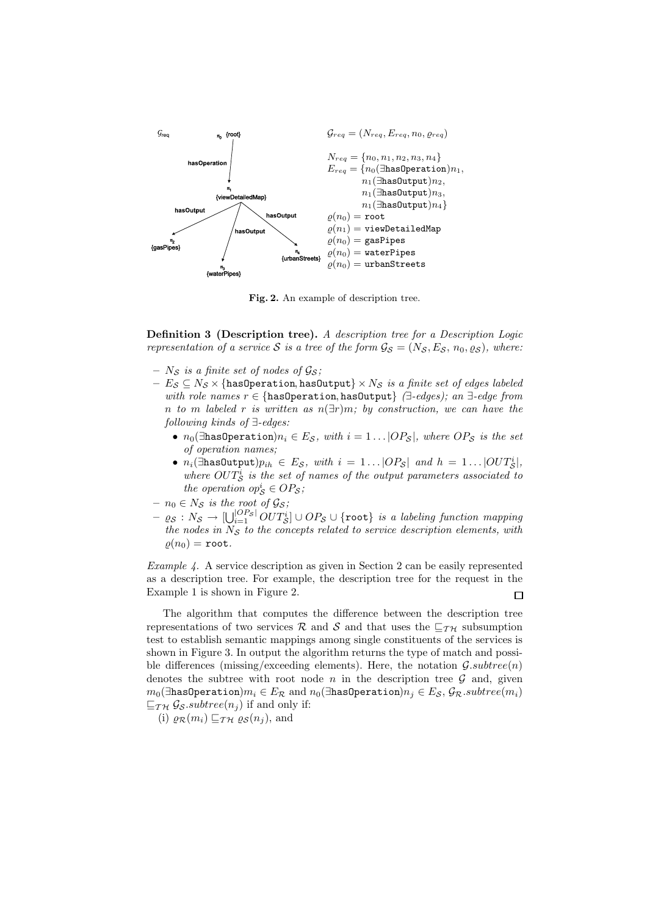

Fig. 2. An example of description tree.

Definition 3 (Description tree). A description tree for a Description Logic representation of a service S is a tree of the form  $\mathcal{G}_{\mathcal{S}} = (N_{\mathcal{S}}, E_{\mathcal{S}}, n_0, \varrho_{\mathcal{S}})$ , where:

- $N_{\mathcal{S}}$  is a finite set of nodes of  $\mathcal{G}_{\mathcal{S}}$ ;
- $-E_S \subseteq N_S \times \{\text{hasOperation}, \text{hasOutput}\} \times N_S$  is a finite set of edges labeled with role names  $r \in \{\text{hasOperation}, \text{hasOutput}\}\$  ( $\exists$ -edges); an  $\exists$ -edge from n to m labeled r is written as  $n(\exists r)m$ ; by construction, we can have the following kinds of ∃-edges:
	- $n_0$ ( $\exists$ hasOperation) $n_i \in E_S$ , with  $i = 1 \dots |OP_S|$ , where  $OP_S$  is the set of operation names;
	- $n_i$ ( $\exists$ hasOutput) $p_{ih} \in E_S$ , with  $i = 1 \dots |OP_S|$  and  $h = 1 \dots |OUT_S^i|$ , where  $OUT^i_S$  is the set of names of the output parameters associated to the operation  $op_S^i \in OP_S$ ;
- $n_0 \in N_S$  is the root of  $\mathcal{G}_S$ ;
- $\varrho_{\mathcal{S}}:N_{\mathcal{S}}\to[\bigcup_{i=1}^{|OP_{\mathcal{S}}|}\mathit{OUT}^i_{\mathcal{S}}]\cup\mathit{OP}_{\mathcal{S}}\cup\{\mathtt{root}\}\text{\it is a labeling function mapping}$ the nodes in  $N<sub>S</sub>$  to the concepts related to service description elements, with  $\rho(n_0) = \texttt{root}.$

Example 4. A service description as given in Section 2 can be easily represented as a description tree. For example, the description tree for the request in the Example 1 is shown in Figure 2.  $\Box$ 

The algorithm that computes the difference between the description tree representations of two services R and S and that uses the  $\sqsubseteq_{\mathcal{TH}}$  subsumption test to establish semantic mappings among single constituents of the services is shown in Figure 3. In output the algorithm returns the type of match and possible differences (missing/exceeding elements). Here, the notation  $\mathcal{G}.subtree(n)$ denotes the subtree with root node  $n$  in the description tree  $\mathcal G$  and, given  $m_0$ (∃hasOperation) $m_i \in E_R$  and  $n_0$ (∃hasOperation) $n_i \in E_S$ ,  $\mathcal{G}_R$ .subtree( $m_i$ )  $\sqsubseteq_{\mathcal{TH}} \mathcal{G}_{\mathcal{S}}$  subtree( $n_i$ ) if and only if:

(i)  $\varrho_{\mathcal{R}}(m_i) \sqsubseteq_{\mathcal{TH}} \varrho_{\mathcal{S}}(n_j)$ , and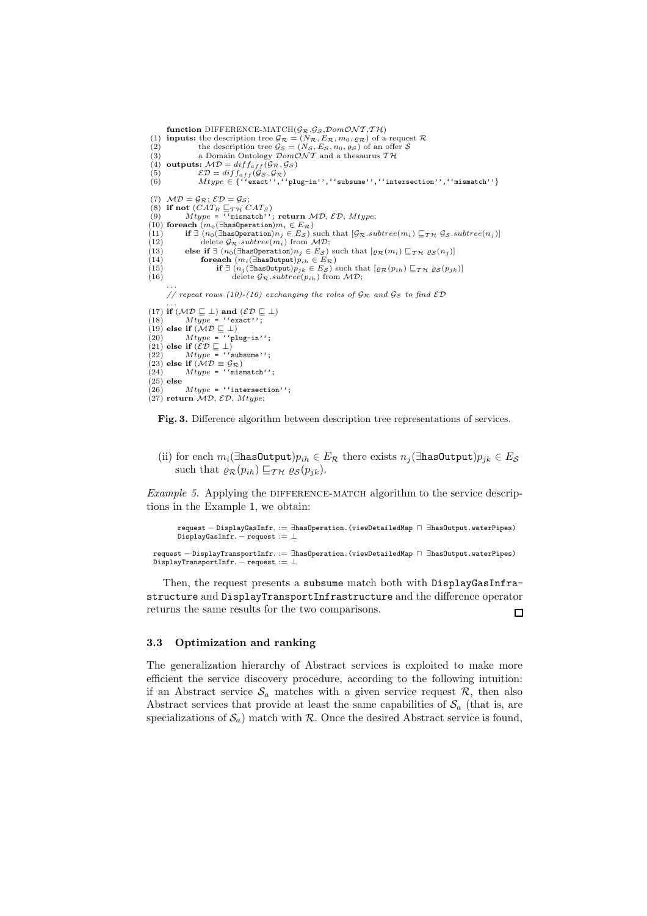```
function DIFFERENCE-MATCH(\mathcal{G}_{\mathcal{R}},\mathcal{G}_{\mathcal{S}},\mathcal{D}om\mathcal{ONT},\mathcal{TH})(1) inputs: the description tree \mathcal{G}_{\mathcal{R}} = (N_{\mathcal{R}}, E_{\mathcal{R}}, m_0, \varrho_{\mathcal{R}}) of a request \mathcal{R}(2) the description tree \mathcal{G}_{\mathcal{S}} = (N_{\mathcal{S}}, E_{\mathcal{S}}, n_0, \varrho_{\mathcal{S}}) of an offer \mathcal{S}<br>(3) a Domain Ontology \mathcal{D}om\mathcal{O}N\mathcal{T} and a thesaurus \mathcal{T}\mathcal{H}(4) outputs: MD = diff_{aff}(\mathcal{G}_{\mathcal{R}}, \mathcal{G}_{\mathcal{S}})(5) \mathcal{ED} = diff_{aff}(\mathcal{G}_S, \mathcal{G}_{\mathcal{R}})<br>
(6) Mtype \in \{``exact''', ``plug-in''', ''subsum''', ''intersection''', ''mismatch''\}(7) MD = G_{\mathcal{R}}; \mathcal{ED} = G_{\mathcal{S}};
  (8) if not (CAT_R \sqsubseteq_{\mathcal{T}H} CAT_S)<br>(9) Mtype = ''mismatch''; return MD, ED, Mtype;
(10) foreach (m_0(\exists \text{hasOperation})m_i \in E_{\mathcal{R}})<br>(11) if \exists (n_0(\exists \text{hasOperation})n_j \in E_{\mathcal{S}})(11) if \exists (n_0(\exists \text{hasOperation}) n_j \in E_{\mathcal{S}}) such that [\mathcal{G}_{\mathcal{R}}.\mathit{subtree}(m_i) \sqsubseteq_{\mathcal{T}} \mathcal{H} \mathcal{G}_{\mathcal{S}}.\mathit{subtree}(n_j)]<br>(12) delete \mathcal{G}_{\mathcal{R}}.\mathit{subtree}(m_i) from \mathcal{MD};(13) else if ∃ (n<sub>0</sub>(∃has0peration)n<sub>j</sub> ∈ E<sub>S</sub>) such that [\varrho_R(m_i) \sqsubseteq_{\mathcal{TM}} \varrho_S(n_j)]<br>(14) foreach (m<sub>i</sub>(∃has0utput)p_{ih} \in E_{\mathcal{R}})<br>(15) if ∃ (n<sub>j</sub>(∃has0utput)p_{jk} \in E_S) such that [\varrho_R(p_{ih}) \sqsubseteq_{\mathcal{TM}} \varrho_S(p_{jk})]
(16) delete \mathcal{G}_{\mathcal{R}}. subtree(p_{ih}) from MD;
           ...<br>// repeat rows (10)-(16) exchanging the roles of \mathcal{G}_{\mathcal{R}} and \mathcal{G}_{\mathcal{S}} to find \mathcal{ED}...<br>(17) if (\mathcal{MD} \sqsubseteq \bot) and (\mathcal{ED} \sqsubseteq \bot)(18) Mtype = '^\text{`exact'};<br>(19) else if (\mathcal{MD} \sqsubseteq \bot)(20) Mtype = ''plug-in'';<br>(21) else if (\mathcal{ED} \sqsubseteq \bot)(22) Mtype = ' 'subsame' ' ;(23) else if (MD \equiv \mathcal{G}_R)<br>(24) Mtype = "nism"
                    Mtype = ''mismatch'';
\begin{array}{c} (25) else
                     Mtype = "intersection";
(27) return MD, ED, Mtype;
```
Fig. 3. Difference algorithm between description tree representations of services.

(ii) for each  $m_i$ (∃has0utput) $p_{ih} \in E_R$  there exists  $n_i$ (∃has0utput) $p_{jk} \in E_S$ such that  $\varrho_{\mathcal{R}}(p_{ih}) \sqsubseteq_{\mathcal{TH}} \varrho_{\mathcal{S}}(p_{jk}).$ 

Example 5. Applying the DIFFERENCE-MATCH algorithm to the service descriptions in the Example 1, we obtain:

```
request − DisplayGasInfr. := ∃hasOperation.(viewDetailedMap ⊓ ∃hasOutput.waterPipes)
DisplayGasInfr. - request := ⊥
```
request − DisplayTransportInfr. := ∃hasOperation.(viewDetailedMap ⊓ ∃hasOutput.waterPipes) DisplayTransportInfr. - request := ⊥

Then, the request presents a subsume match both with DisplayGasInfrastructure and DisplayTransportInfrastructure and the difference operator returns the same results for the two comparisons.  $\Box$ 

#### 3.3 Optimization and ranking

The generalization hierarchy of Abstract services is exploited to make more efficient the service discovery procedure, according to the following intuition: if an Abstract service  $S_a$  matches with a given service request  $\mathcal{R}$ , then also Abstract services that provide at least the same capabilities of  $S_a$  (that is, are specializations of  $\mathcal{S}_a$ ) match with R. Once the desired Abstract service is found,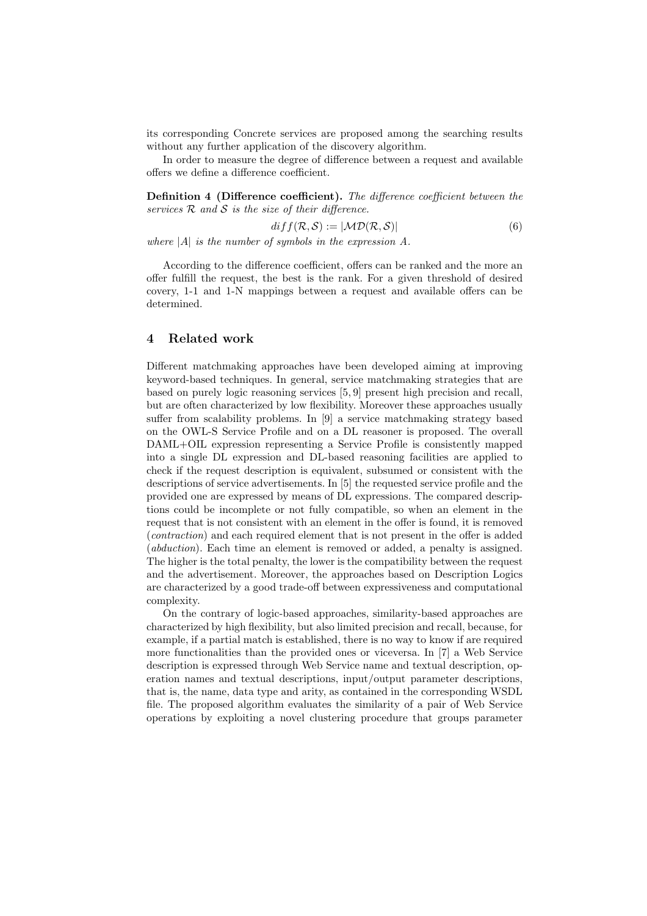its corresponding Concrete services are proposed among the searching results without any further application of the discovery algorithm.

In order to measure the degree of difference between a request and available offers we define a difference coefficient.

Definition 4 (Difference coefficient). The difference coefficient between the services  $R$  and  $S$  is the size of their difference.

$$
diff(\mathcal{R}, \mathcal{S}) := |\mathcal{MD}(\mathcal{R}, \mathcal{S})|
$$
\n(6)

where  $|A|$  is the number of symbols in the expression A.

According to the difference coefficient, offers can be ranked and the more an offer fulfill the request, the best is the rank. For a given threshold of desired covery, 1-1 and 1-N mappings between a request and available offers can be determined.

## 4 Related work

Different matchmaking approaches have been developed aiming at improving keyword-based techniques. In general, service matchmaking strategies that are based on purely logic reasoning services [5, 9] present high precision and recall, but are often characterized by low flexibility. Moreover these approaches usually suffer from scalability problems. In [9] a service matchmaking strategy based on the OWL-S Service Profile and on a DL reasoner is proposed. The overall DAML+OIL expression representing a Service Profile is consistently mapped into a single DL expression and DL-based reasoning facilities are applied to check if the request description is equivalent, subsumed or consistent with the descriptions of service advertisements. In [5] the requested service profile and the provided one are expressed by means of DL expressions. The compared descriptions could be incomplete or not fully compatible, so when an element in the request that is not consistent with an element in the offer is found, it is removed (contraction) and each required element that is not present in the offer is added (abduction). Each time an element is removed or added, a penalty is assigned. The higher is the total penalty, the lower is the compatibility between the request and the advertisement. Moreover, the approaches based on Description Logics are characterized by a good trade-off between expressiveness and computational complexity.

On the contrary of logic-based approaches, similarity-based approaches are characterized by high flexibility, but also limited precision and recall, because, for example, if a partial match is established, there is no way to know if are required more functionalities than the provided ones or viceversa. In [7] a Web Service description is expressed through Web Service name and textual description, operation names and textual descriptions, input/output parameter descriptions, that is, the name, data type and arity, as contained in the corresponding WSDL file. The proposed algorithm evaluates the similarity of a pair of Web Service operations by exploiting a novel clustering procedure that groups parameter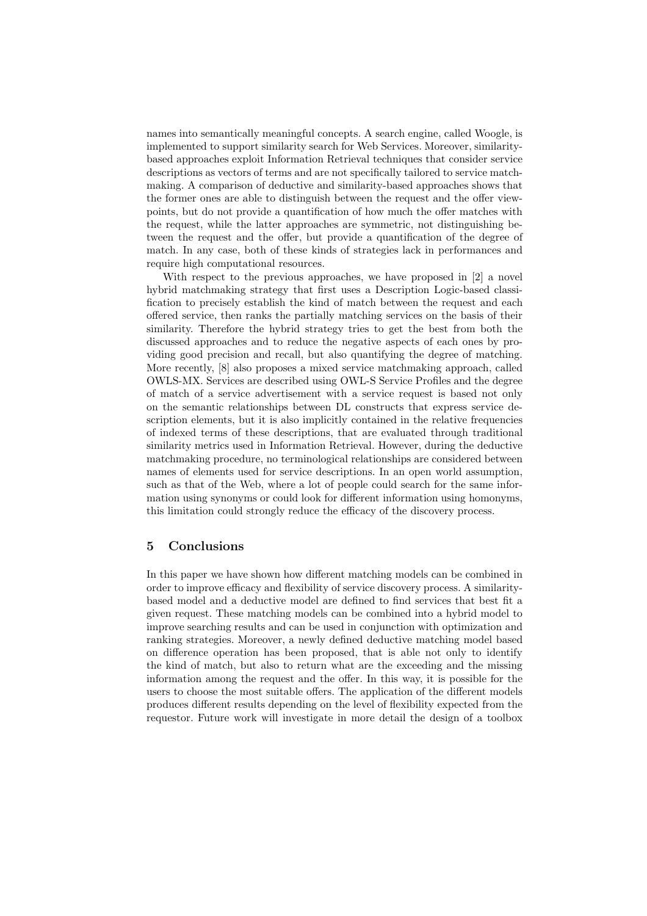names into semantically meaningful concepts. A search engine, called Woogle, is implemented to support similarity search for Web Services. Moreover, similaritybased approaches exploit Information Retrieval techniques that consider service descriptions as vectors of terms and are not specifically tailored to service matchmaking. A comparison of deductive and similarity-based approaches shows that the former ones are able to distinguish between the request and the offer viewpoints, but do not provide a quantification of how much the offer matches with the request, while the latter approaches are symmetric, not distinguishing between the request and the offer, but provide a quantification of the degree of match. In any case, both of these kinds of strategies lack in performances and require high computational resources.

With respect to the previous approaches, we have proposed in |2| a novel hybrid matchmaking strategy that first uses a Description Logic-based classification to precisely establish the kind of match between the request and each offered service, then ranks the partially matching services on the basis of their similarity. Therefore the hybrid strategy tries to get the best from both the discussed approaches and to reduce the negative aspects of each ones by providing good precision and recall, but also quantifying the degree of matching. More recently, [8] also proposes a mixed service matchmaking approach, called OWLS-MX. Services are described using OWL-S Service Profiles and the degree of match of a service advertisement with a service request is based not only on the semantic relationships between DL constructs that express service description elements, but it is also implicitly contained in the relative frequencies of indexed terms of these descriptions, that are evaluated through traditional similarity metrics used in Information Retrieval. However, during the deductive matchmaking procedure, no terminological relationships are considered between names of elements used for service descriptions. In an open world assumption, such as that of the Web, where a lot of people could search for the same information using synonyms or could look for different information using homonyms, this limitation could strongly reduce the efficacy of the discovery process.

## 5 Conclusions

In this paper we have shown how different matching models can be combined in order to improve efficacy and flexibility of service discovery process. A similaritybased model and a deductive model are defined to find services that best fit a given request. These matching models can be combined into a hybrid model to improve searching results and can be used in conjunction with optimization and ranking strategies. Moreover, a newly defined deductive matching model based on difference operation has been proposed, that is able not only to identify the kind of match, but also to return what are the exceeding and the missing information among the request and the offer. In this way, it is possible for the users to choose the most suitable offers. The application of the different models produces different results depending on the level of flexibility expected from the requestor. Future work will investigate in more detail the design of a toolbox